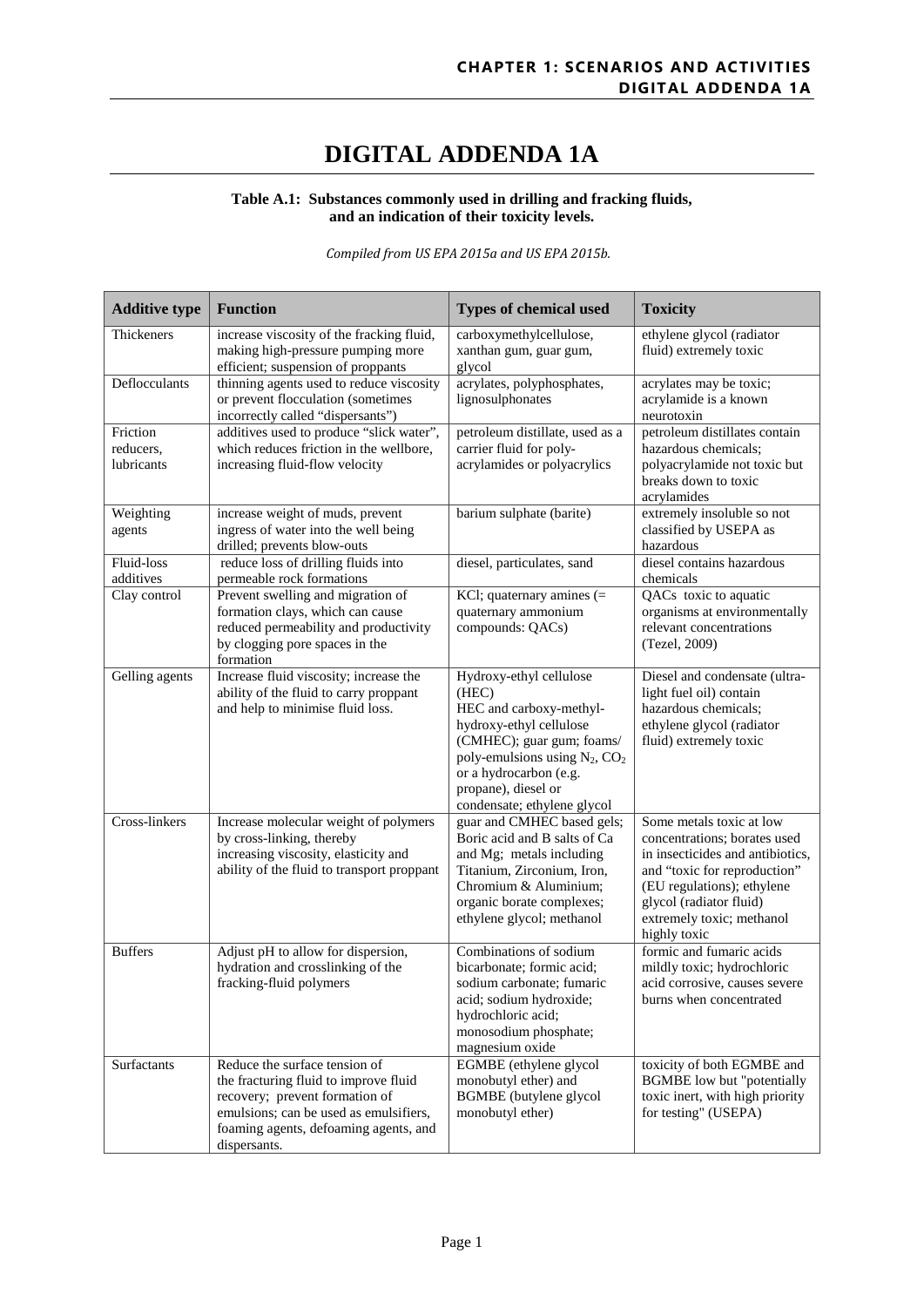## **DIGITAL ADDENDA 1A**

## **Table A.1: Substances commonly used in drilling and fracking fluids, and an indication of their toxicity levels.**

*Compiled from US EPA 2015a and US EPA 2015b.*

| <b>Additive type</b>                | <b>Function</b>                                                                                                                                                                                             | <b>Types of chemical used</b>                                                                                                                                                                                                              | <b>Toxicity</b>                                                                                                                                                                                                                    |
|-------------------------------------|-------------------------------------------------------------------------------------------------------------------------------------------------------------------------------------------------------------|--------------------------------------------------------------------------------------------------------------------------------------------------------------------------------------------------------------------------------------------|------------------------------------------------------------------------------------------------------------------------------------------------------------------------------------------------------------------------------------|
| Thickeners                          | increase viscosity of the fracking fluid,<br>making high-pressure pumping more<br>efficient; suspension of proppants                                                                                        | carboxymethylcellulose,<br>xanthan gum, guar gum,<br>glycol                                                                                                                                                                                | ethylene glycol (radiator<br>fluid) extremely toxic                                                                                                                                                                                |
| Deflocculants                       | thinning agents used to reduce viscosity<br>or prevent flocculation (sometimes<br>incorrectly called "dispersants")                                                                                         | acrylates, polyphosphates,<br>lignosulphonates                                                                                                                                                                                             | acrylates may be toxic;<br>acrylamide is a known<br>neurotoxin                                                                                                                                                                     |
| Friction<br>reducers,<br>lubricants | additives used to produce "slick water",<br>which reduces friction in the wellbore,<br>increasing fluid-flow velocity                                                                                       | petroleum distillate, used as a<br>carrier fluid for poly-<br>acrylamides or polyacrylics                                                                                                                                                  | petroleum distillates contain<br>hazardous chemicals;<br>polyacrylamide not toxic but<br>breaks down to toxic<br>acrylamides                                                                                                       |
| Weighting<br>agents                 | increase weight of muds, prevent<br>ingress of water into the well being<br>drilled; prevents blow-outs                                                                                                     | barium sulphate (barite)                                                                                                                                                                                                                   | extremely insoluble so not<br>classified by USEPA as<br>hazardous                                                                                                                                                                  |
| Fluid-loss<br>additives             | reduce loss of drilling fluids into<br>permeable rock formations                                                                                                                                            | diesel, particulates, sand                                                                                                                                                                                                                 | diesel contains hazardous<br>chemicals                                                                                                                                                                                             |
| Clay control                        | Prevent swelling and migration of<br>formation clays, which can cause<br>reduced permeability and productivity<br>by clogging pore spaces in the<br>formation                                               | KCl; quaternary amines $(=$<br>quaternary ammonium<br>compounds: QACs)                                                                                                                                                                     | QACs toxic to aquatic<br>organisms at environmentally<br>relevant concentrations<br>(Tezel, 2009)                                                                                                                                  |
| Gelling agents                      | Increase fluid viscosity; increase the<br>ability of the fluid to carry proppant<br>and help to minimise fluid loss.                                                                                        | Hydroxy-ethyl cellulose<br>(HEC)<br>HEC and carboxy-methyl-<br>hydroxy-ethyl cellulose<br>(CMHEC); guar gum; foams/<br>poly-emulsions using $N_2$ , $CO_2$<br>or a hydrocarbon (e.g.<br>propane), diesel or<br>condensate; ethylene glycol | Diesel and condensate (ultra-<br>light fuel oil) contain<br>hazardous chemicals;<br>ethylene glycol (radiator<br>fluid) extremely toxic                                                                                            |
| Cross-linkers                       | Increase molecular weight of polymers<br>by cross-linking, thereby<br>increasing viscosity, elasticity and<br>ability of the fluid to transport proppant                                                    | guar and CMHEC based gels;<br>Boric acid and B salts of Ca<br>and Mg; metals including<br>Titanium, Zirconium, Iron,<br>Chromium & Aluminium;<br>organic borate complexes;<br>ethylene glycol; methanol                                    | Some metals toxic at low<br>concentrations; borates used<br>in insecticides and antibiotics,<br>and "toxic for reproduction"<br>(EU regulations); ethylene<br>glycol (radiator fluid)<br>extremely toxic; methanol<br>highly toxic |
| <b>Buffers</b>                      | Adjust pH to allow for dispersion,<br>hydration and crosslinking of the<br>fracking-fluid polymers                                                                                                          | Combinations of sodium<br>bicarbonate; formic acid;<br>sodium carbonate; fumaric<br>acid; sodium hydroxide;<br>hydrochloric acid;<br>monosodium phosphate;<br>magnesium oxide                                                              | formic and fumaric acids<br>mildly toxic; hydrochloric<br>acid corrosive, causes severe<br>burns when concentrated                                                                                                                 |
| Surfactants                         | Reduce the surface tension of<br>the fracturing fluid to improve fluid<br>recovery; prevent formation of<br>emulsions; can be used as emulsifiers,<br>foaming agents, defoaming agents, and<br>dispersants. | EGMBE (ethylene glycol<br>monobutyl ether) and<br><b>BGMBE</b> (butylene glycol<br>monobutyl ether)                                                                                                                                        | toxicity of both EGMBE and<br><b>BGMBE</b> low but "potentially<br>toxic inert, with high priority<br>for testing" (USEPA)                                                                                                         |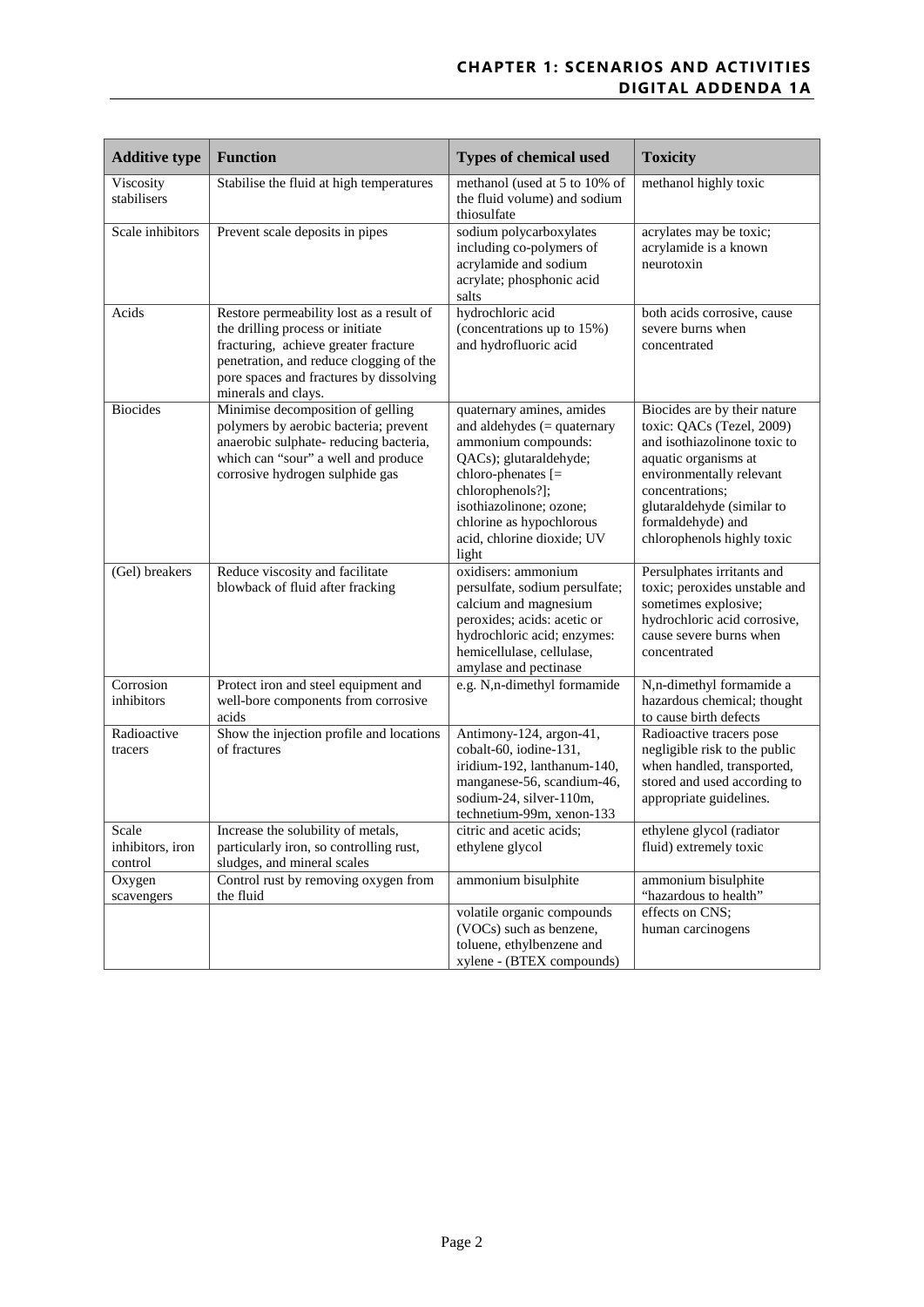## **CHAPTER 1: SCENARIOS AND ACTIVITIES DIGITAL ADDENDA 1A**

| <b>Additive type</b>                 | <b>Function</b>                                                                                                                                                                                                                   | <b>Types of chemical used</b>                                                                                                                                                                                                                       | <b>Toxicity</b>                                                                                                                                                                                                                                   |
|--------------------------------------|-----------------------------------------------------------------------------------------------------------------------------------------------------------------------------------------------------------------------------------|-----------------------------------------------------------------------------------------------------------------------------------------------------------------------------------------------------------------------------------------------------|---------------------------------------------------------------------------------------------------------------------------------------------------------------------------------------------------------------------------------------------------|
| Viscosity<br>stabilisers             | Stabilise the fluid at high temperatures                                                                                                                                                                                          | methanol (used at 5 to 10% of<br>the fluid volume) and sodium<br>thiosulfate                                                                                                                                                                        | methanol highly toxic                                                                                                                                                                                                                             |
| Scale inhibitors                     | Prevent scale deposits in pipes                                                                                                                                                                                                   | sodium polycarboxylates<br>including co-polymers of<br>acrylamide and sodium<br>acrylate; phosphonic acid<br>salts                                                                                                                                  | acrylates may be toxic;<br>acrylamide is a known<br>neurotoxin                                                                                                                                                                                    |
| Acids                                | Restore permeability lost as a result of<br>the drilling process or initiate<br>fracturing, achieve greater fracture<br>penetration, and reduce clogging of the<br>pore spaces and fractures by dissolving<br>minerals and clays. | hydrochloric acid<br>(concentrations up to 15%)<br>and hydrofluoric acid                                                                                                                                                                            | both acids corrosive, cause<br>severe burns when<br>concentrated                                                                                                                                                                                  |
| <b>Biocides</b>                      | Minimise decomposition of gelling<br>polymers by aerobic bacteria; prevent<br>anaerobic sulphate-reducing bacteria,<br>which can "sour" a well and produce<br>corrosive hydrogen sulphide gas                                     | quaternary amines, amides<br>and aldehydes $(=$ quaternary<br>ammonium compounds:<br>QACs); glutaraldehyde;<br>chloro-phenates [=<br>chlorophenols?];<br>isothiazolinone; ozone;<br>chlorine as hypochlorous<br>acid, chlorine dioxide; UV<br>light | Biocides are by their nature<br>toxic: QACs (Tezel, 2009)<br>and isothiazolinone toxic to<br>aquatic organisms at<br>environmentally relevant<br>concentrations:<br>glutaraldehyde (similar to<br>formaldehyde) and<br>chlorophenols highly toxic |
| (Gel) breakers                       | Reduce viscosity and facilitate<br>blowback of fluid after fracking                                                                                                                                                               | oxidisers: ammonium<br>persulfate, sodium persulfate;<br>calcium and magnesium<br>peroxides; acids: acetic or<br>hydrochloric acid; enzymes:<br>hemicellulase, cellulase,<br>amylase and pectinase                                                  | Persulphates irritants and<br>toxic; peroxides unstable and<br>sometimes explosive;<br>hydrochloric acid corrosive,<br>cause severe burns when<br>concentrated                                                                                    |
| Corrosion<br>inhibitors              | Protect iron and steel equipment and<br>well-bore components from corrosive<br>acids                                                                                                                                              | e.g. N,n-dimethyl formamide                                                                                                                                                                                                                         | N,n-dimethyl formamide a<br>hazardous chemical; thought<br>to cause birth defects                                                                                                                                                                 |
| Radioactive<br>tracers               | Show the injection profile and locations<br>of fractures                                                                                                                                                                          | Antimony-124, argon-41,<br>cobalt-60, iodine-131,<br>iridium-192, lanthanum-140,<br>manganese-56, scandium-46,<br>sodium-24, silver-110m,<br>technetium-99m, xenon-133                                                                              | Radioactive tracers pose<br>negligible risk to the public<br>when handled, transported,<br>stored and used according to<br>appropriate guidelines.                                                                                                |
| Scale<br>inhibitors, iron<br>control | Increase the solubility of metals,<br>particularly iron, so controlling rust,<br>sludges, and mineral scales                                                                                                                      | citric and acetic acids;<br>ethylene glycol                                                                                                                                                                                                         | ethylene glycol (radiator<br>fluid) extremely toxic                                                                                                                                                                                               |
| Oxygen<br>scavengers                 | Control rust by removing oxygen from<br>the fluid                                                                                                                                                                                 | ammonium bisulphite                                                                                                                                                                                                                                 | ammonium bisulphite<br>"hazardous to health"                                                                                                                                                                                                      |
|                                      |                                                                                                                                                                                                                                   | volatile organic compounds<br>(VOCs) such as benzene,<br>toluene, ethylbenzene and<br>xylene - (BTEX compounds)                                                                                                                                     | effects on CNS;<br>human carcinogens                                                                                                                                                                                                              |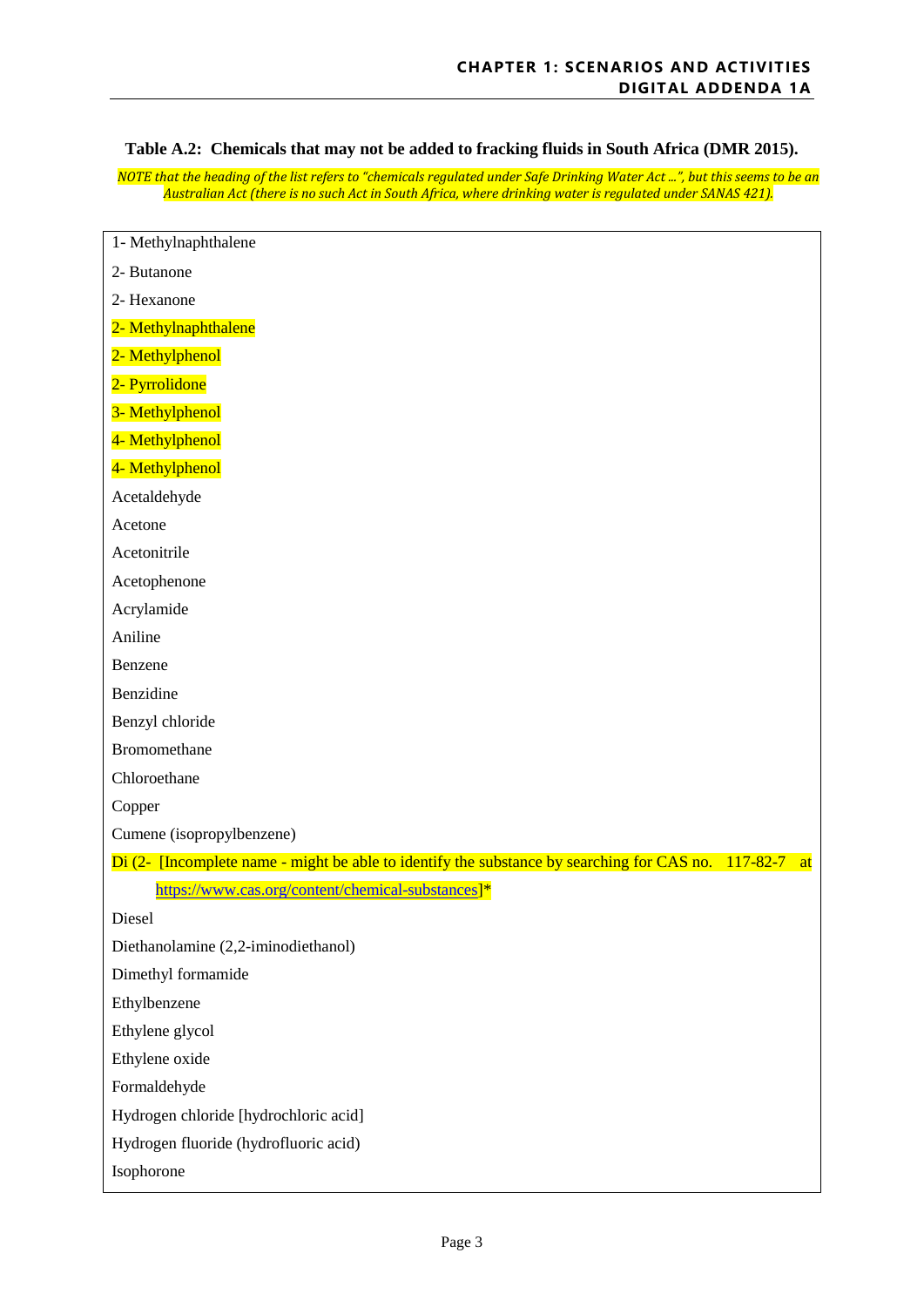**Table A.2: Chemicals that may not be added to fracking fluids in South Africa (DMR 2015).**

*NOTE that the heading of the list refers to "chemicals regulated under Safe Drinking Water Act ...", but this seems to be an Australian Act (there is no such Act in South Africa, where drinking water is regulated under SANAS 421).*

| 1- Methylnaphthalene                                                                                      |
|-----------------------------------------------------------------------------------------------------------|
| 2- Butanone                                                                                               |
| 2- Hexanone                                                                                               |
| 2- Methylnaphthalene                                                                                      |
| 2- Methylphenol                                                                                           |
| 2- Pyrrolidone                                                                                            |
| 3- Methylphenol                                                                                           |
| 4- Methylphenol                                                                                           |
| 4- Methylphenol                                                                                           |
| Acetaldehyde                                                                                              |
| Acetone                                                                                                   |
| Acetonitrile                                                                                              |
| Acetophenone                                                                                              |
| Acrylamide                                                                                                |
| Aniline                                                                                                   |
| Benzene                                                                                                   |
| Benzidine                                                                                                 |
| Benzyl chloride                                                                                           |
| Bromomethane                                                                                              |
| Chloroethane                                                                                              |
| Copper                                                                                                    |
| Cumene (isopropylbenzene)                                                                                 |
| Di (2- [Incomplete name - might be able to identify the substance by searching for CAS no. 117-82-7<br>at |
| https://www.cas.org/content/chemical-substances]*                                                         |
| Diesel                                                                                                    |
| Diethanolamine (2,2-iminodiethanol)                                                                       |
| Dimethyl formamide                                                                                        |
| Ethylbenzene                                                                                              |
| Ethylene glycol                                                                                           |
| Ethylene oxide                                                                                            |
| Formaldehyde                                                                                              |
| Hydrogen chloride [hydrochloric acid]                                                                     |
| Hydrogen fluoride (hydrofluoric acid)                                                                     |
| Isophorone                                                                                                |